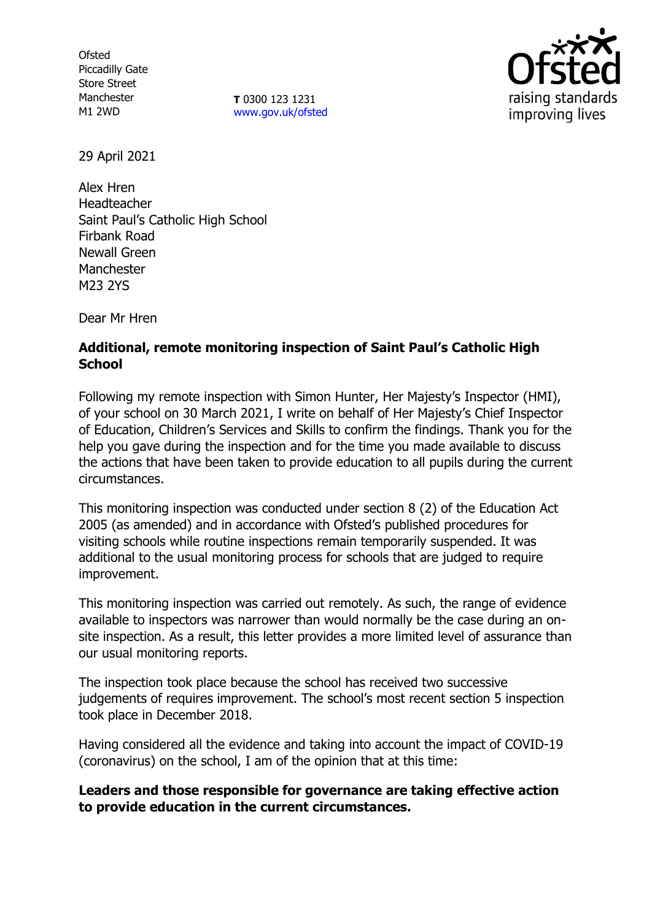**Ofsted** Piccadilly Gate Store Street Manchester M1 2WD

**T** 0300 123 1231 [www.gov.uk/ofsted](http://www.gov.uk/ofsted)



29 April 2021

Alex Hren Headteacher Saint Paul's Catholic High School Firbank Road Newall Green Manchester M23 2YS

Dear Mr Hren

## **Additional, remote monitoring inspection of Saint Paul's Catholic High School**

Following my remote inspection with Simon Hunter, Her Majesty's Inspector (HMI), of your school on 30 March 2021, I write on behalf of Her Majesty's Chief Inspector of Education, Children's Services and Skills to confirm the findings. Thank you for the help you gave during the inspection and for the time you made available to discuss the actions that have been taken to provide education to all pupils during the current circumstances.

This monitoring inspection was conducted under section 8 (2) of the Education Act 2005 (as amended) and in accordance with Ofsted's published procedures for visiting schools while routine inspections remain temporarily suspended. It was additional to the usual monitoring process for schools that are judged to require improvement.

This monitoring inspection was carried out remotely. As such, the range of evidence available to inspectors was narrower than would normally be the case during an onsite inspection. As a result, this letter provides a more limited level of assurance than our usual monitoring reports.

The inspection took place because the school has received two successive judgements of requires improvement. The school's most recent section 5 inspection took place in December 2018.

Having considered all the evidence and taking into account the impact of COVID-19 (coronavirus) on the school, I am of the opinion that at this time:

**Leaders and those responsible for governance are taking effective action to provide education in the current circumstances.**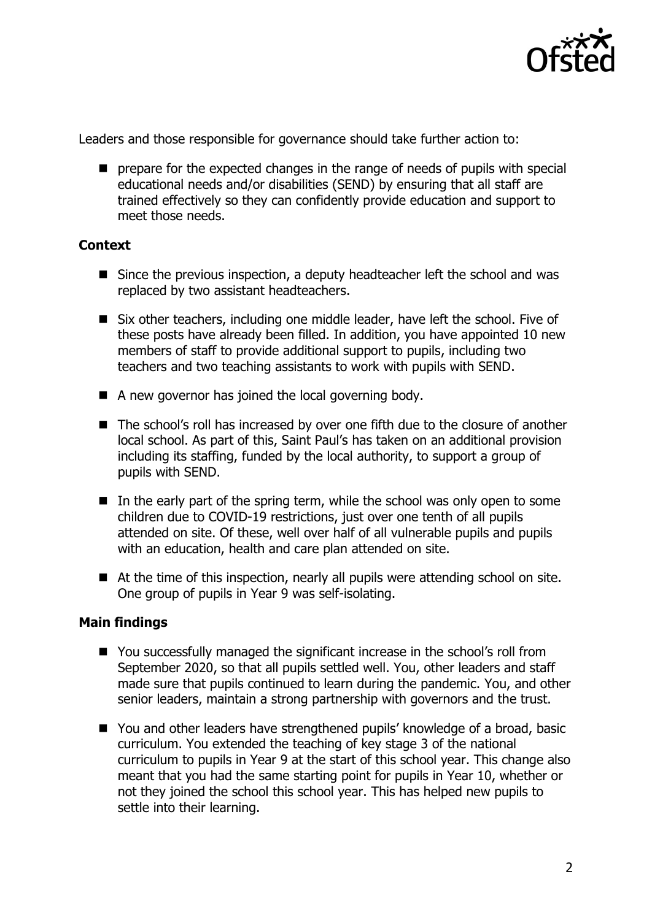

Leaders and those responsible for governance should take further action to:

 $\blacksquare$  prepare for the expected changes in the range of needs of pupils with special educational needs and/or disabilities (SEND) by ensuring that all staff are trained effectively so they can confidently provide education and support to meet those needs.

## **Context**

- Since the previous inspection, a deputy headteacher left the school and was replaced by two assistant headteachers.
- Six other teachers, including one middle leader, have left the school. Five of these posts have already been filled. In addition, you have appointed 10 new members of staff to provide additional support to pupils, including two teachers and two teaching assistants to work with pupils with SEND.
- $\blacksquare$  A new governor has joined the local governing body.
- The school's roll has increased by over one fifth due to the closure of another local school. As part of this, Saint Paul's has taken on an additional provision including its staffing, funded by the local authority, to support a group of pupils with SEND.
- $\blacksquare$  In the early part of the spring term, while the school was only open to some children due to COVID-19 restrictions, just over one tenth of all pupils attended on site. Of these, well over half of all vulnerable pupils and pupils with an education, health and care plan attended on site.
- At the time of this inspection, nearly all pupils were attending school on site. One group of pupils in Year 9 was self-isolating.

## **Main findings**

- You successfully managed the significant increase in the school's roll from September 2020, so that all pupils settled well. You, other leaders and staff made sure that pupils continued to learn during the pandemic. You, and other senior leaders, maintain a strong partnership with governors and the trust.
- You and other leaders have strengthened pupils' knowledge of a broad, basic curriculum. You extended the teaching of key stage 3 of the national curriculum to pupils in Year 9 at the start of this school year. This change also meant that you had the same starting point for pupils in Year 10, whether or not they joined the school this school year. This has helped new pupils to settle into their learning.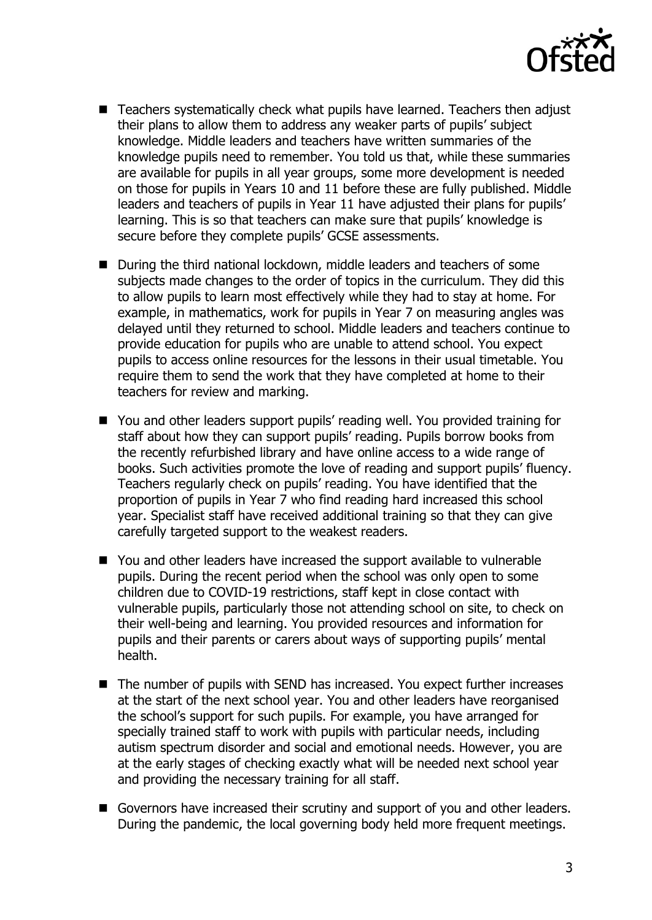

- Teachers systematically check what pupils have learned. Teachers then adjust their plans to allow them to address any weaker parts of pupils' subject knowledge. Middle leaders and teachers have written summaries of the knowledge pupils need to remember. You told us that, while these summaries are available for pupils in all year groups, some more development is needed on those for pupils in Years 10 and 11 before these are fully published. Middle leaders and teachers of pupils in Year 11 have adjusted their plans for pupils' learning. This is so that teachers can make sure that pupils' knowledge is secure before they complete pupils' GCSE assessments.
- During the third national lockdown, middle leaders and teachers of some subjects made changes to the order of topics in the curriculum. They did this to allow pupils to learn most effectively while they had to stay at home. For example, in mathematics, work for pupils in Year 7 on measuring angles was delayed until they returned to school. Middle leaders and teachers continue to provide education for pupils who are unable to attend school. You expect pupils to access online resources for the lessons in their usual timetable. You require them to send the work that they have completed at home to their teachers for review and marking.
- You and other leaders support pupils' reading well. You provided training for staff about how they can support pupils' reading. Pupils borrow books from the recently refurbished library and have online access to a wide range of books. Such activities promote the love of reading and support pupils' fluency. Teachers regularly check on pupils' reading. You have identified that the proportion of pupils in Year 7 who find reading hard increased this school year. Specialist staff have received additional training so that they can give carefully targeted support to the weakest readers.
- You and other leaders have increased the support available to vulnerable pupils. During the recent period when the school was only open to some children due to COVID-19 restrictions, staff kept in close contact with vulnerable pupils, particularly those not attending school on site, to check on their well-being and learning. You provided resources and information for pupils and their parents or carers about ways of supporting pupils' mental health.
- The number of pupils with SEND has increased. You expect further increases at the start of the next school year. You and other leaders have reorganised the school's support for such pupils. For example, you have arranged for specially trained staff to work with pupils with particular needs, including autism spectrum disorder and social and emotional needs. However, you are at the early stages of checking exactly what will be needed next school year and providing the necessary training for all staff.
- Governors have increased their scrutiny and support of you and other leaders. During the pandemic, the local governing body held more frequent meetings.